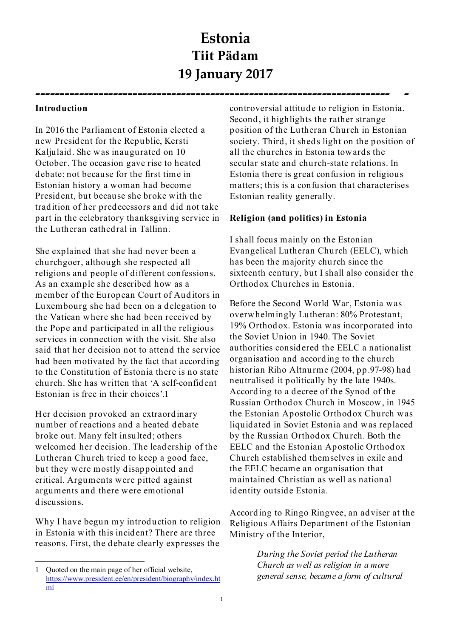# **Estonia Tiit Pädam 19 January 2017**

**------------------------------------------------------------------------- -** 

#### **Introduction**

In 2016 the Parliament of Estonia elected a new President for the Republic, Kersti Kaljulaid. She was inaugurated on 10 October. The occasion gave rise to heated debate: not because for the first time in Estonian history a woman had become President, but because she broke with the tradition of her predecessors and did not take part in the celebratory thanksgiving service in the Lutheran cathedral in Tallinn.

She explained that she had never been a churchgoer, although she respected all religions and people of different confessions. As an example she described how as a member of the European Court of Auditors in Luxembourg she had been on a delegation to the Vatican where she had been received by the Pope and participated in all the religious services in connection with the visit. She also said that her decision not to attend the service had been motivated by the fact that according to the Constitution of Estonia there is no state church. She has written that 'A self-confident Estonian is free in their choices'.1 Her decision provoked an extraordinary

number of reactions and a heated debate broke out. Many felt insulted; others welcomed her decision. The leadership of the Lutheran Church tried to keep a good face, but they were mostly disappointed and critical. Arguments were pitted against arguments and there were emotional discussions.

Why I have begun my introduction to religion in Estonia with this incident? There are three reasons. First, the debate clearly expresses the

controversial attitude to religion in Estonia. Second, it highlights the rather strange position of the Lutheran Church in Estonian society. Third, it sheds light on the position of all the churches in Estonia towards the secular state and church-state relations. In Estonia there is great confusion in religious matters; this is a confusion that characterises Estonian reality generally.

# **Religion (and politics) in Estonia**

I shall focus mainly on the Estonian Evangelical Lutheran Church (EELC), which has been the majority church since the sixteenth century, but I shall also consider the Orthodox Churches in Estonia.

Before the Second World War, Estonia was overwhelmingly Lutheran: 80% Protestant, 19% Orthodox. Estonia was incorporated into the Soviet Union in 1940. The Soviet authorities considered the EELC a nationalist organisation and according to the church historian Riho Altnurme (2004, pp.97-98) had neutralised it politically by the late 1940s. According to a decree of the Synod of the Russian Orthodox Church in Moscow, in 1945 the Estonian Apostolic Orthodox Church was liquidated in Soviet Estonia and was replaced by the Russian Orthodox Church. Both the EELC and the Estonian Apostolic Orthodox Church established themselves in exile and the EELC became an organisation that maintained Christian as well as national identity outside Estonia.

According to Ringo Ringvee, an adviser at the Religious Affairs Department of the Estonian Ministry of the Interior,

> *During the Soviet period the Lutheran Church as well as religion in a more general sense, became a form of cultural*

 <sup>1</sup> Quoted on the main page of her official website, https://www.president.ee/en/president/biography/index.ht ml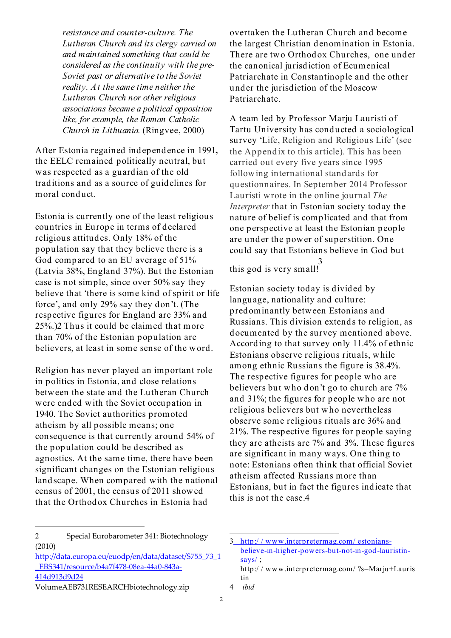*resistance and counter-culture. The Lutheran Church and its clergy carried on and maintained something that could be considered as the continuity with the pre-Soviet past or alternative to the Soviet reality. At the same time neither the Lutheran Church nor other religious associations became a political opposition like, for example, the Roman Catholic Church in Lithuania.* (Ringvee, 2000)

After Estonia regained independence in 1991**,**  the EELC remained politically neutral, but was respected as a guardian of the old traditions and as a source of guidelines for moral conduct.

Estonia is currently one of the least religious countries in Europe in terms of declared religious attitudes. Only 18% of the population say that they believe there is a God compared to an EU average of 51% (Latvia 38%, England 37%). But the Estonian case is not simple, since over 50% say they believe that 'there is some kind of spirit or life force', and only 29% say they don't. (The respective figures for England are 33% and 25%.)2 Thus it could be claimed that more than 70% of the Estonian population are believers, at least in some sense of the word.

Religion has never played an important role in politics in Estonia, and close relations between the state and the Lutheran Church were ended with the Soviet occupation in 1940. The Soviet authorities promoted atheism by all possible means; one consequence is that currently around 54% of the population could be described as agnostics. At the same time, there have been significant changes on the Estonian religious landscape. When compared with the national census of 2001, the census of 2011 showed that the Orthodox Churches in Estonia had

overtaken the Lutheran Church and become the largest Christian denomination in Estonia. There are two Orthodox Churches, one under the canonical jurisdiction of Ecumenical Patriarchate in Constantinople and the other under the jurisdiction of the Moscow Patriarchate.

A team led by Professor Marju Lauristi of Tartu University has conducted a sociological survey 'Life, Religion and Religious Life' (see the Appendix to this article). This has been carried out every five years since 1995 following international standards for questionnaires. In September 2014 Professor Lauristi wrote in the online journal *The Interpreter* that in Estonian society today the nature of belief is complicated and that from one perspective at least the Estonian people are under the power of superstition. One could say that Estonians believe in God but 3

this god is very small!

Estonian society today is divided by language, nationality and culture: predominantly between Estonians and Russians. This division extends to religion, as documented by the survey mentioned above. According to that survey only 11.4% of ethnic Estonians observe religious rituals, while among ethnic Russians the figure is 38.4%. The respective figures for people who are believers but who don't go to church are 7% The respective figures for people who are<br>believers but who don't go to church are 7%<br>and 31%; the figures for people who are not religious believers but who nevertheless observe some religious rituals are 36% and 21%. The respective figures for people saying they are atheists are 7% and 3%. These figures are significant in many ways. One thing to note: Estonians often think that official Soviet atheism affected Russians more than Estonians, but in fact the figures indicate that this is not the case.4

 <sup>2</sup> Special Eurobarometer 341: Biotechnology (2010)

http://data.europa.eu/euodp/en/data/dataset/S755\_73\_1 \_EBS341/resource/b4a7f478-08ea-44a0-843a-414d913d9d24

VolumeAEB731RESEARCHbiotechnology.zip

<sup>3</sup> http:/ / www.interpretermag.com/ estoniansbelieve-in-higher-powers-but-not-in-god-lauristinsays/ ;

http:/ / www.interpretermag.com/ ?s=Marju+Lauris tin

<sup>4</sup> *ibid*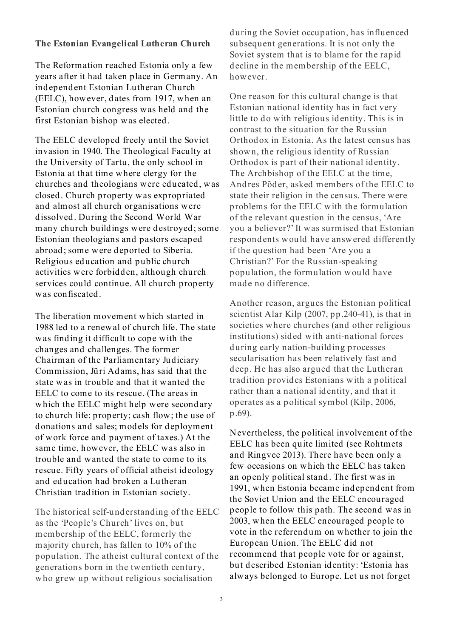#### **The Estonian Evangelical Lutheran Church**

The Reformation reached Estonia only a few years after it had taken place in Germany. An independent Estonian Lutheran Church (EELC), however, dates from 1917, when an Estonian church congress was held and the first Estonian bishop was elected.

The EELC developed freely until the Soviet invasion in 1940. The Theological Faculty at the University of Tartu, the only school in Estonia at that time where clergy for the churches and theologians were educated, was closed. Church property was expropriated and almost all church organisations were dissolved. During the Second World War many church buildings were destroyed; some Estonian theologians and pastors escaped abroad; some were deported to Siberia. Religious education and public church activities were forbidden, although church services could continue. All church property was confiscated.

The liberation movement which started in 1988 led to a renewal of church life. The state was finding it difficult to cope with the changes and challenges. The former Chairman of the Parliamentary Judiciary Commission, Jüri Adams, has said that the Chairman of the Parliamentary Judiciary<br>Commission, Jüri Adams, has said that the<br>state was in trouble and that it wanted the EELC to come to its rescue. (The areas in which the EELC might help were secondary to church life: property; cash flow; the use of donations and sales; models for deployment of work force and payment of taxes.) At the same time, however, the EELC was also in trouble and wanted the state to come to its rescue. Fifty years of official atheist ideology and education had broken a Lutheran Christian tradition in Estonian society.

The historical self-understanding of the EELC as the 'People's Church' lives on, but membership of the EELC, formerly the majority church, has fallen to 10% of the population. The atheist cultural context of the generations born in the twentieth century, who grew up without religious socialisation

during the Soviet occupation, has influenced subsequent generations. It is not only the Soviet system that is to blame for the rapid decline in the membership of the EELC, however.

One reason for this cultural change is that Estonian national identity has in fact very little to do with religious identity. This is in contrast to the situation for the Russian Orthodox in Estonia. As the latest census has shown, the religious identity of Russian Orthodox is part of their national identity. The Archbishop of the EELC at the time, Andres Põder, asked members of the EELC to state their religion in the census. There were problems for the EELC with the formulation of the relevant question in the census, 'Are you a believer?' It was surmised that Estonian respondents would have answered differently if the question had been 'Are you a Christian?' For the Russian-speaking population, the formulation would have made no difference.

Another reason, argues the Estonian political scientist Alar Kilp (2007, pp.240-41), is that in societies where churches (and other religious institutions) sided with anti-national forces during early nation-building processes secularisation has been relatively fast and deep. He has also argued that the Lutheran tradition provides Estonians with a political rather than a national identity, and that it operates as a political symbol (Kilp, 2006, p.69).

Nevertheless, the political involvement of the EELC has been quite limited (see Rohtmets and Ringvee 2013). There have been only a few occasions on which the EELC has taken an openly political stand. The first was in 1991, when Estonia became independent from the Soviet Union and the EELC encouraged people to follow this path. The second was in 2003, when the EELC encouraged people to vote in the referendum on whether to join the European Union. The EELC did not recommend that people vote for or against, but described Estonian identity: 'Estonia has always belonged to Europe. Let us not forget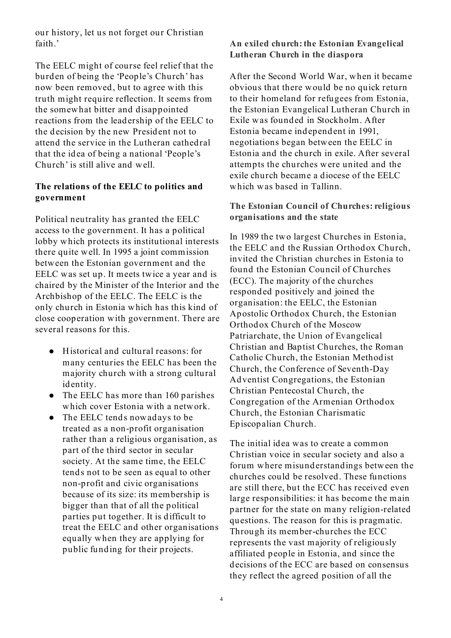our history, let us not forget our Christian faith<sup>'</sup>

The EELC might of course feel relief that the burden of being the 'People's Church' has now been removed, but to agree with this truth might require reflection. It seems from the somewhat bitter and disappointed reactions from the leadership of the EELC to the decision by the new President not to attend the service in the Lutheran cathedral that the idea of being a national 'People's Church' is still alive and well.

# **The relations of the EELC to politics and government**

Political neutrality has granted the EELC access to the government. It has a political lobby which protects its institutional interests there quite well. In 1995 a joint commission between the Estonian government and the EELC was set up. It meets twice a year and is chaired by the Minister of the Interior and the Archbishop of the EELC. The EELC is the only church in Estonia which has this kind of close cooperation with government. There are several reasons for this.

- Historical and cultural reasons: for many centuries the EELC has been the majority church with a strong cultural identity.
- The EELC has more than 160 parishes which cover Estonia with a network.
- The EELC tends now adays to be treated as a non-profit organisation rather than a religious organisation, as part of the third sector in secular society. At the same time, the EELC tends not to be seen as equal to other non-profit and civic organisations because of its size: its membership is bigger than that of all the political parties put together. It is difficult to treat the EELC and other organisations equally w hen they are applying for public funding for their projects.

# **An exiled church: the Estonian Evangelical Lutheran Church in the diaspora**

After the Second World War, when it became obvious that there would be no quick return to their homeland for refugees from Estonia, the Estonian Evangelical Lutheran Church in Exile was founded in Stockholm. After Estonia became independent in 1991, negotiations began between the EELC in Estonia and the church in exile. After several attempts the churches were united and the exile church became a diocese of the EELC which was based in Tallinn.

# **The Estonian Council of Churches: religious organisations and the state**

In 1989 the two largest Churches in Estonia, the EELC and the Russian Orthodox Church, invited the Christian churches in Estonia to found the Estonian Council of Churches (ECC). The majority of the churches responded positively and joined the organisation: the EELC, the Estonian Apostolic Orthodox Church, the Estonian Orthodox Church of the Moscow Patriarchate, the Union of Evangelical Christian and Baptist Churches, the Roman Catholic Church, the Estonian Methodist Church, the Conference of Seventh-Day Adventist Congregations, the Estonian Christian Pentecostal Church, the Congregation of the Armenian Orthodox Church, the Estonian Charismatic Episcopalian Church.

The initial idea was to create a common Christian voice in secular society and also a forum where misunderstandings between the churches could be resolved. These functions are still there, but the ECC has received even large responsibilities: it has become the main partner for the state on many religion-related questions. The reason for this is pragmatic. Through its member-churches the ECC represents the vast majority of religiously affiliated people in Estonia, and since the decisions of the ECC are based on consensus they reflect the agreed position of all the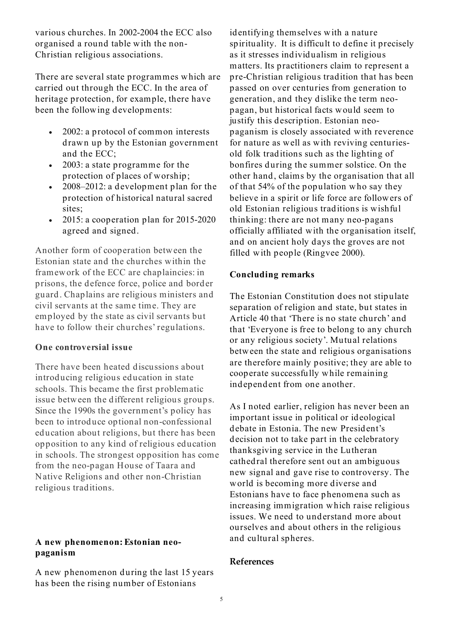various churches. In 2002-2004 the ECC also organised a round table with the non-Christian religious associations.

There are several state programmes which are carried out through the ECC. In the area of heritage protection, for example, there have been the following developments:

- 2002: a protocol of common interests drawn up by the Estonian government and the ECC;
- 2003: a state programme for the protection of places of worship;
- $2008 2012$ : a development plan for the protection of historical natural sacred sites;
- $\bullet$  2015: a cooperation plan for 2015-2020 agreed and signed.

Another form of cooperation between the Estonian state and the churches within the framework of the ECC are chaplaincies: in prisons, the defence force, police and border guard. Chaplains are religious ministers and civil servants at the same time. They are employed by the state as civil servants but have to follow their churches' regulations.

# **One controversial issue**

There have been heated discussions about introducing religious education in state schools. This became the first problematic issue between the different religious groups. Since the 1990s the government's policy has been to introduce optional non-confessional education about religions, but there has been opposition to any kind of religious education in schools. The strongest opposition has come from the neo-pagan House of Taara and Native Religions and other non-Christian religious traditions.

#### **A new phenomenon: Estonian neopaganism**

A new phenomenon during the last 15 years has been the rising number of Estonians

identifying themselves with a nature spirituality. It is difficult to define it precisely as it stresses individualism in religious matters. Its practitioners claim to represent a pre-Christian religious tradition that has been passed on over centuries from generation to generation, and they dislike the term neopagan, but historical facts would seem to justify this description. Estonian neopaganism is closely associated with reverence for nature as well as with reviving centuriesold folk traditions such as the lighting of bonfires during the summer solstice. On the other hand, claims by the organisation that all of that 54% of the population who say they believe in a spirit or life force are followers of old Estonian religious traditions is wishful thinking: there are not many neo-pagans officially affiliated with the organisation itself, and on ancient holy days the groves are not filled with people (Ringvee 2000).

#### **Concluding remarks**

The Estonian Constitution does not stipulate separation of religion and state, but states in Article 40 that 'There is no state church' and that 'Everyone is free to belong to any church or any religious society'. Mutual relations between the state and religious organisations<br>are therefore mainly positive; they are able to<br>cooperate successfully while remaining<br>independent from properties are therefore mainly positive; they are able to independent from one another.

As I noted earlier, religion has never been an important issue in political or ideological debate in Estonia. The new President's decision not to take part in the celebratory thanksgiving service in the Lutheran cathedral therefore sent out an ambiguous new signal and gave rise to controversy. The world is becoming more diverse and Estonians have to face phenomena such as increasing immigration which raise religious issues. We need to understand more about ourselves and about others in the religious and cultural spheres.

#### **References**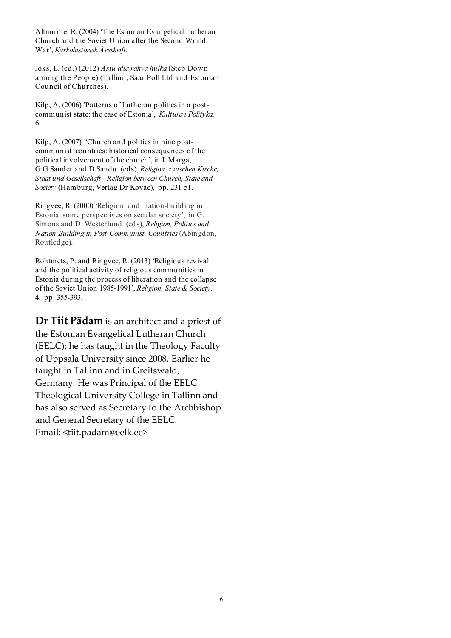Altnurme, R. (2004) 'The Estonian Evangelical Lutheran Church and the Soviet Union after the Second World War', *Kyrkohistorisk Årsskrift*.

Jõks, E. (ed.) (2012) *Astu alla rahva hulka* (Step Down among the People) (Tallinn, Saar Poll Ltd and Estonian Council of Churches).

Kilp, A. (2006) 'Patterns of Lutheran politics in a postcommunist state: the case of Estonia', *Kultura i Polityka,*  6.

Kilp, A. (2007) 'Church and politics in nine postcommunist countries: historical consequences of the political involvement of the church', in I. Marga, G.G.Sander and D.Sandu (eds), *Religion zwischen Kirche, Staat und Gesellschaft - Religion between Church, State and Society* (Hamburg, Verlag Dr Kovac), pp. 231-51.

Ringvee, R. (2000) 'Religion and nation-building in Estonia: some perspectives on secular society', in G. Simons and D. Westerlund (eds), *Religion, Politics and Nation-Building in Post-Communist Countries* (Abingdon, Routledge).

Rohtmets, P. and Ringvee, R. (2013) 'Religious revival and the political activity of religious communities in Estonia during the process of liberation and the collapse of the Soviet Union 1985-1991', *Religion, State & Society*, 4, pp. 355-393.

**Dr Tiit Pädam** is an architect and a priest of the Estonian Evangelical Lutheran Church (EELC); he has taught in the Theology Faculty of Uppsala University since 2008. Earlier he taught in Tallinn and in Greifswald, Germany. He was Principal of the EELC Theological University College in Tallinn and has also served as Secretary to the Archbishop and General Secretary of the EELC. Email: <tiit.padam@eelk.ee>